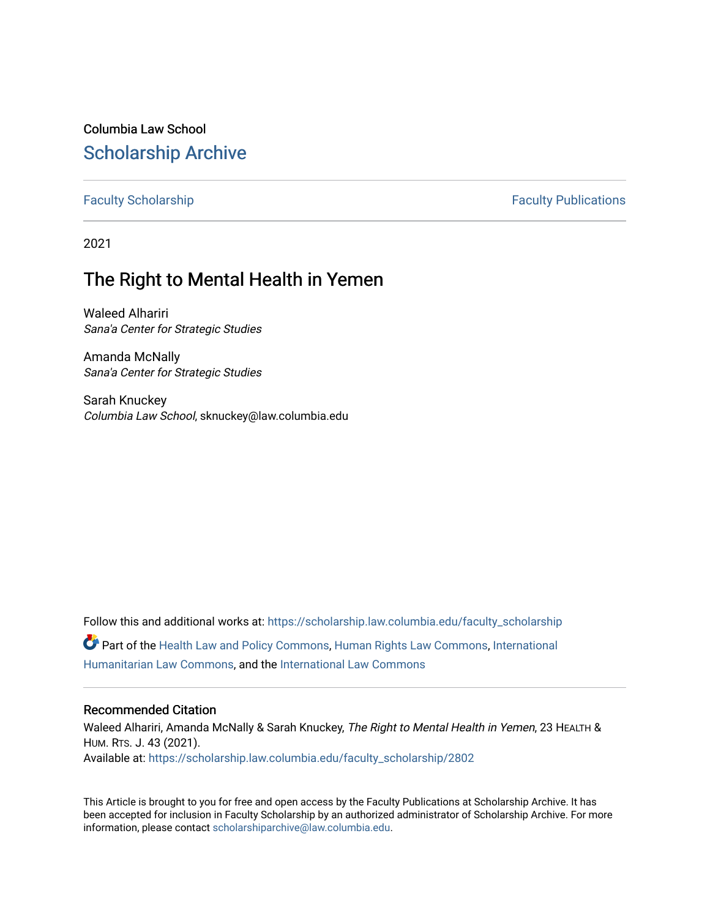Columbia Law School [Scholarship Archive](https://scholarship.law.columbia.edu/) 

[Faculty Scholarship](https://scholarship.law.columbia.edu/faculty_scholarship) **Faculty Scholarship Faculty Publications** 

2021

## The Right to Mental Health in Yemen

Waleed Alhariri Sana'a Center for Strategic Studies

Amanda McNally Sana'a Center for Strategic Studies

Sarah Knuckey Columbia Law School, sknuckey@law.columbia.edu

Follow this and additional works at: [https://scholarship.law.columbia.edu/faculty\\_scholarship](https://scholarship.law.columbia.edu/faculty_scholarship?utm_source=scholarship.law.columbia.edu%2Ffaculty_scholarship%2F2802&utm_medium=PDF&utm_campaign=PDFCoverPages) Part of the [Health Law and Policy Commons](http://network.bepress.com/hgg/discipline/901?utm_source=scholarship.law.columbia.edu%2Ffaculty_scholarship%2F2802&utm_medium=PDF&utm_campaign=PDFCoverPages), [Human Rights Law Commons,](http://network.bepress.com/hgg/discipline/847?utm_source=scholarship.law.columbia.edu%2Ffaculty_scholarship%2F2802&utm_medium=PDF&utm_campaign=PDFCoverPages) [International](http://network.bepress.com/hgg/discipline/1330?utm_source=scholarship.law.columbia.edu%2Ffaculty_scholarship%2F2802&utm_medium=PDF&utm_campaign=PDFCoverPages) [Humanitarian Law Commons,](http://network.bepress.com/hgg/discipline/1330?utm_source=scholarship.law.columbia.edu%2Ffaculty_scholarship%2F2802&utm_medium=PDF&utm_campaign=PDFCoverPages) and the [International Law Commons](http://network.bepress.com/hgg/discipline/609?utm_source=scholarship.law.columbia.edu%2Ffaculty_scholarship%2F2802&utm_medium=PDF&utm_campaign=PDFCoverPages)

#### Recommended Citation

Waleed Alhariri, Amanda McNally & Sarah Knuckey, The Right to Mental Health in Yemen, 23 HEALTH & HUM. RTS. J. 43 (2021). Available at: [https://scholarship.law.columbia.edu/faculty\\_scholarship/2802](https://scholarship.law.columbia.edu/faculty_scholarship/2802?utm_source=scholarship.law.columbia.edu%2Ffaculty_scholarship%2F2802&utm_medium=PDF&utm_campaign=PDFCoverPages)

This Article is brought to you for free and open access by the Faculty Publications at Scholarship Archive. It has been accepted for inclusion in Faculty Scholarship by an authorized administrator of Scholarship Archive. For more information, please contact [scholarshiparchive@law.columbia.edu.](mailto:scholarshiparchive@law.columbia.edu)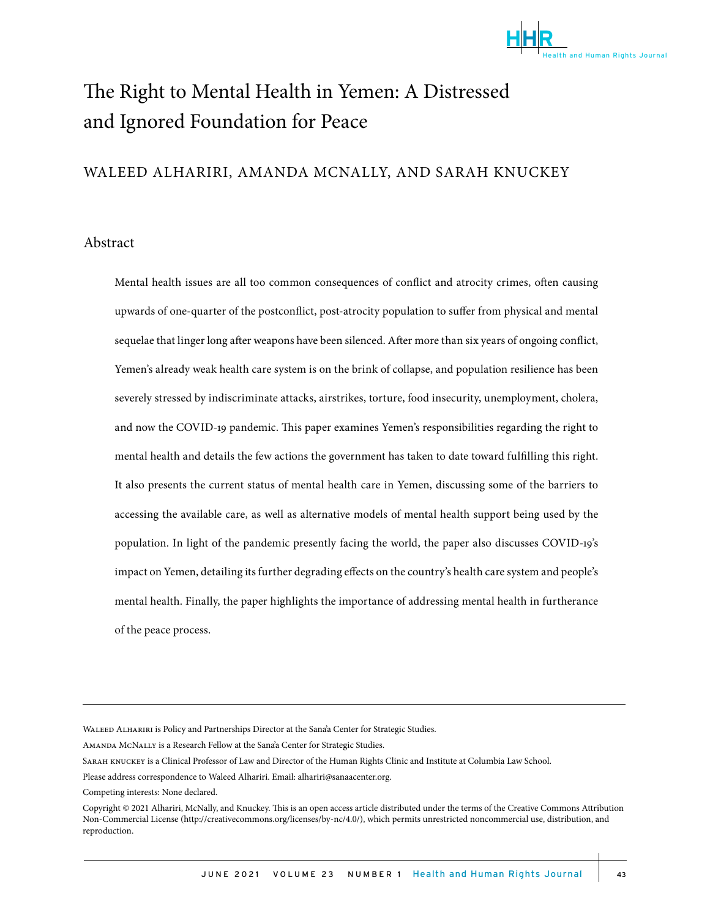

# The Right to Mental Health in Yemen: A Distressed and Ignored Foundation for Peace

## WALEED ALHARIRI, AMANDA MCNALLY, AND SARAH KNUCKEY

#### Abstract

Mental health issues are all too common consequences of conflict and atrocity crimes, often causing upwards of one-quarter of the postconflict, post-atrocity population to suffer from physical and mental sequelae that linger long after weapons have been silenced. After more than six years of ongoing conflict, Yemen's already weak health care system is on the brink of collapse, and population resilience has been severely stressed by indiscriminate attacks, airstrikes, torture, food insecurity, unemployment, cholera, and now the COVID-19 pandemic. This paper examines Yemen's responsibilities regarding the right to mental health and details the few actions the government has taken to date toward fulfilling this right. It also presents the current status of mental health care in Yemen, discussing some of the barriers to accessing the available care, as well as alternative models of mental health support being used by the population. In light of the pandemic presently facing the world, the paper also discusses COVID-19's impact on Yemen, detailing its further degrading effects on the country's health care system and people's mental health. Finally, the paper highlights the importance of addressing mental health in furtherance of the peace process.

Amanda McNally is a Research Fellow at the Sana'a Center for Strategic Studies.

Competing interests: None declared.

WALEED ALHARIRI is Policy and Partnerships Director at the Sana'a Center for Strategic Studies.

Sarah knuckey is a Clinical Professor of Law and Director of the Human Rights Clinic and Institute at Columbia Law School.

Please address correspondence to Waleed Alhariri. Email: alhariri@sanaacenter.org.

Copyright © 2021 Alhariri, McNally, and Knuckey. This is an open access article distributed under the terms of the Creative Commons Attribution Non-Commercial License (http://creativecommons.org/licenses/by-nc/4.0/), which permits unrestricted noncommercial use, distribution, and reproduction.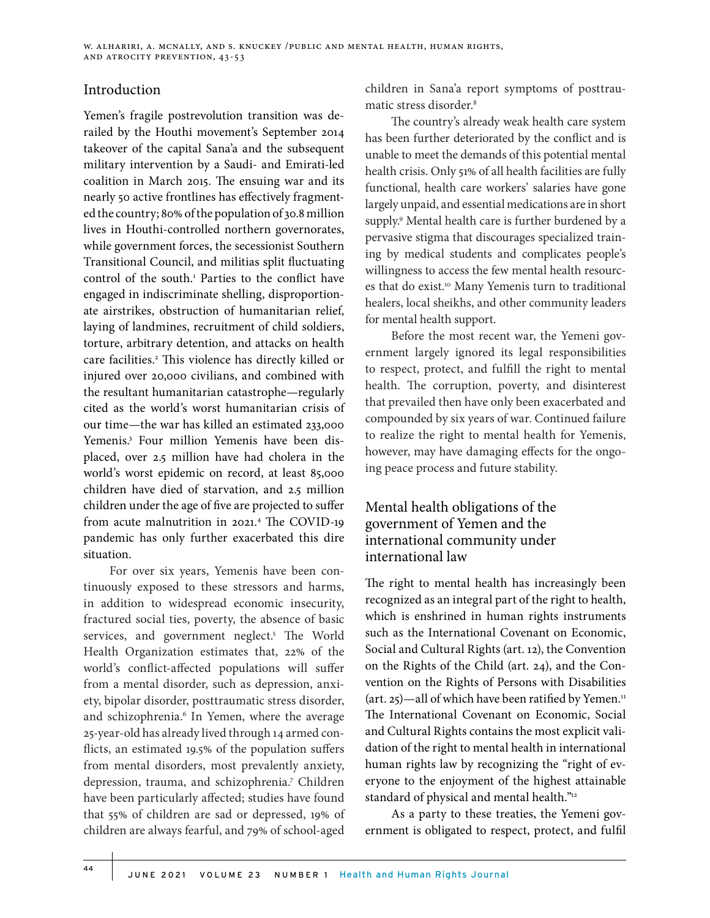### Introduction

Yemen's fragile postrevolution transition was derailed by the Houthi movement's September 2014 takeover of the capital Sana'a and the subsequent military intervention by a Saudi- and Emirati-led coalition in March 2015. The ensuing war and its nearly 50 active frontlines has effectively fragmented the country; 80% of the population of 30.8 million lives in Houthi-controlled northern governorates, while government forces, the secessionist Southern Transitional Council, and militias split fluctuating control of the south.<sup>1</sup> Parties to the conflict have engaged in indiscriminate shelling, disproportionate airstrikes, obstruction of humanitarian relief, laying of landmines, recruitment of child soldiers, torture, arbitrary detention, and attacks on health care facilities.<sup>2</sup> This violence has directly killed or injured over 20,000 civilians, and combined with the resultant humanitarian catastrophe—regularly cited as the world's worst humanitarian crisis of our time—the war has killed an estimated 233,000 Yemenis.<sup>3</sup> Four million Yemenis have been displaced, over 2.5 million have had cholera in the world's worst epidemic on record, at least 85,000 children have died of starvation, and 2.5 million children under the age of five are projected to suffer from acute malnutrition in 2021.4 The COVID-19 pandemic has only further exacerbated this dire situation.

For over six years, Yemenis have been continuously exposed to these stressors and harms, in addition to widespread economic insecurity, fractured social ties, poverty, the absence of basic services, and government neglect.<sup>5</sup> The World Health Organization estimates that, 22% of the world's conflict-affected populations will suffer from a mental disorder, such as depression, anxiety, bipolar disorder, posttraumatic stress disorder, and schizophrenia.<sup>6</sup> In Yemen, where the average 25-year-old has already lived through 14 armed conflicts, an estimated 19.5% of the population suffers from mental disorders, most prevalently anxiety, depression, trauma, and schizophrenia.<sup>7</sup> Children have been particularly affected; studies have found that 55% of children are sad or depressed, 19% of children are always fearful, and 79% of school-aged

children in Sana'a report symptoms of posttraumatic stress disorder.8

The country's already weak health care system has been further deteriorated by the conflict and is unable to meet the demands of this potential mental health crisis. Only 51% of all health facilities are fully functional, health care workers' salaries have gone largely unpaid, and essential medications are in short supply.<sup>9</sup> Mental health care is further burdened by a pervasive stigma that discourages specialized training by medical students and complicates people's willingness to access the few mental health resources that do exist.<sup>10</sup> Many Yemenis turn to traditional healers, local sheikhs, and other community leaders for mental health support.

Before the most recent war, the Yemeni government largely ignored its legal responsibilities to respect, protect, and fulfill the right to mental health. The corruption, poverty, and disinterest that prevailed then have only been exacerbated and compounded by six years of war. Continued failure to realize the right to mental health for Yemenis, however, may have damaging effects for the ongoing peace process and future stability.

## Mental health obligations of the government of Yemen and the international community under international law

The right to mental health has increasingly been recognized as an integral part of the right to health, which is enshrined in human rights instruments such as the International Covenant on Economic, Social and Cultural Rights (art. 12), the Convention on the Rights of the Child (art. 24), and the Convention on the Rights of Persons with Disabilities (art. 25)—all of which have been ratified by Yemen.<sup>11</sup> The International Covenant on Economic, Social and Cultural Rights contains the most explicit validation of the right to mental health in international human rights law by recognizing the "right of everyone to the enjoyment of the highest attainable standard of physical and mental health."<sup>12</sup>

As a party to these treaties, the Yemeni government is obligated to respect, protect, and fulfil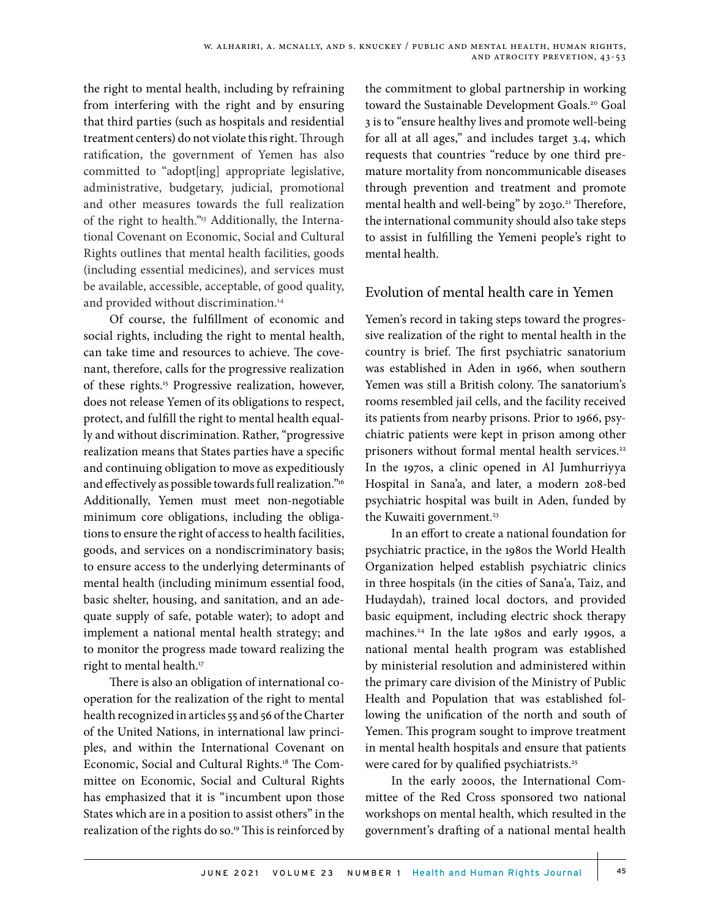the right to mental health, including by refraining from interfering with the right and by ensuring that third parties (such as hospitals and residential treatment centers) do not violate this right. Through ratification, the government of Yemen has also committed to "adopt[ing] appropriate legislative, administrative, budgetary, judicial, promotional and other measures towards the full realization of the right to health."<sup>13</sup> Additionally, the International Covenant on Economic, Social and Cultural Rights outlines that mental health facilities, goods (including essential medicines), and services must be available, accessible, acceptable, of good quality, and provided without discrimination.14

Of course, the fulfillment of economic and social rights, including the right to mental health, can take time and resources to achieve. The covenant, therefore, calls for the progressive realization of these rights.15 Progressive realization, however, does not release Yemen of its obligations to respect, protect, and fulfill the right to mental health equally and without discrimination. Rather, "progressive realization means that States parties have a specific and continuing obligation to move as expeditiously and effectively as possible towards full realization."16 Additionally, Yemen must meet non-negotiable minimum core obligations, including the obligations to ensure the right of access to health facilities, goods, and services on a nondiscriminatory basis; to ensure access to the underlying determinants of mental health (including minimum essential food, basic shelter, housing, and sanitation, and an adequate supply of safe, potable water); to adopt and implement a national mental health strategy; and to monitor the progress made toward realizing the right to mental health.<sup>17</sup>

There is also an obligation of international cooperation for the realization of the right to mental health recognized in articles 55 and 56 of the Charter of the United Nations, in international law principles, and within the International Covenant on Economic, Social and Cultural Rights.18 The Committee on Economic, Social and Cultural Rights has emphasized that it is "incumbent upon those States which are in a position to assist others" in the realization of the rights do so.<sup>19</sup> This is reinforced by

the commitment to global partnership in working toward the Sustainable Development Goals.20 Goal 3 is to "ensure healthy lives and promote well-being for all at all ages," and includes target 3.4, which requests that countries "reduce by one third premature mortality from noncommunicable diseases through prevention and treatment and promote mental health and well-being" by 2030.<sup>21</sup> Therefore, the international community should also take steps to assist in fulfilling the Yemeni people's right to mental health.

## Evolution of mental health care in Yemen

Yemen's record in taking steps toward the progressive realization of the right to mental health in the country is brief. The first psychiatric sanatorium was established in Aden in 1966, when southern Yemen was still a British colony. The sanatorium's rooms resembled jail cells, and the facility received its patients from nearby prisons. Prior to 1966, psychiatric patients were kept in prison among other prisoners without formal mental health services.<sup>22</sup> In the 1970s, a clinic opened in Al Jumhurriyya Hospital in Sana'a, and later, a modern 208-bed psychiatric hospital was built in Aden, funded by the Kuwaiti government.<sup>23</sup>

In an effort to create a national foundation for psychiatric practice, in the 1980s the World Health Organization helped establish psychiatric clinics in three hospitals (in the cities of Sana'a, Taiz, and Hudaydah), trained local doctors, and provided basic equipment, including electric shock therapy machines.24 In the late 1980s and early 1990s, a national mental health program was established by ministerial resolution and administered within the primary care division of the Ministry of Public Health and Population that was established following the unification of the north and south of Yemen. This program sought to improve treatment in mental health hospitals and ensure that patients were cared for by qualified psychiatrists.<sup>25</sup>

In the early 2000s, the International Committee of the Red Cross sponsored two national workshops on mental health, which resulted in the government's drafting of a national mental health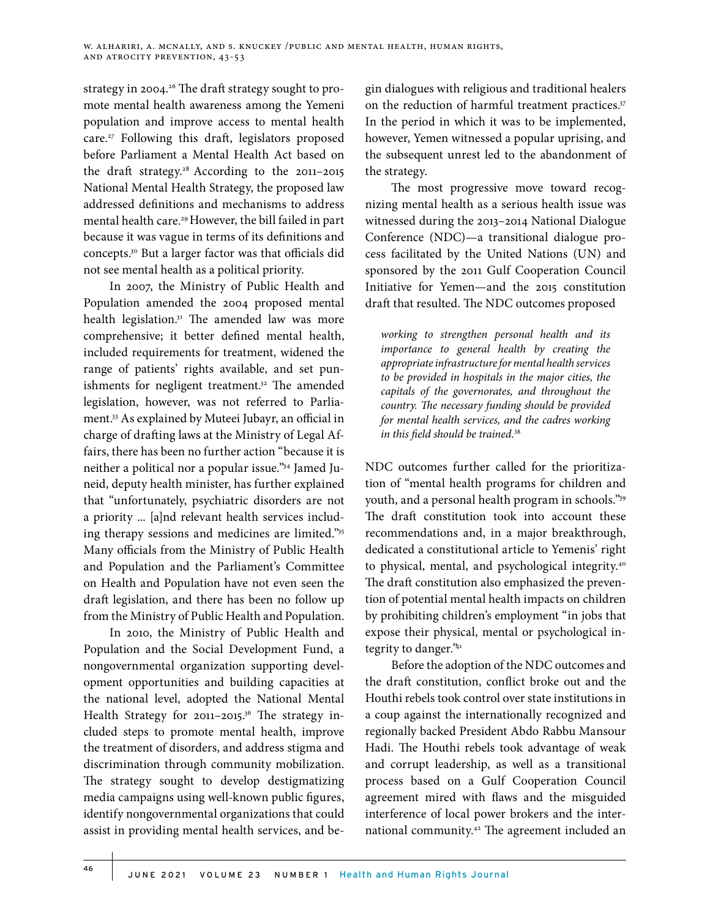strategy in 2004.26 The draft strategy sought to promote mental health awareness among the Yemeni population and improve access to mental health care.<sup>27</sup> Following this draft, legislators proposed before Parliament a Mental Health Act based on the draft strategy.<sup>28</sup> According to the 2011-2015 National Mental Health Strategy, the proposed law addressed definitions and mechanisms to address mental health care.<sup>29</sup> However, the bill failed in part because it was vague in terms of its definitions and concepts.30 But a larger factor was that officials did not see mental health as a political priority.

In 2007, the Ministry of Public Health and Population amended the 2004 proposed mental health legislation.<sup>31</sup> The amended law was more comprehensive; it better defined mental health, included requirements for treatment, widened the range of patients' rights available, and set punishments for negligent treatment.<sup>32</sup> The amended legislation, however, was not referred to Parliament.33 As explained by Muteei Jubayr, an official in charge of drafting laws at the Ministry of Legal Affairs, there has been no further action "because it is neither a political nor a popular issue."34 Jamed Juneid, deputy health minister, has further explained that "unfortunately, psychiatric disorders are not a priority ... [a]nd relevant health services including therapy sessions and medicines are limited."35 Many officials from the Ministry of Public Health and Population and the Parliament's Committee on Health and Population have not even seen the draft legislation, and there has been no follow up from the Ministry of Public Health and Population.

In 2010, the Ministry of Public Health and Population and the Social Development Fund, a nongovernmental organization supporting development opportunities and building capacities at the national level, adopted the National Mental Health Strategy for 2011–2015.<sup>36</sup> The strategy included steps to promote mental health, improve the treatment of disorders, and address stigma and discrimination through community mobilization. The strategy sought to develop destigmatizing media campaigns using well-known public figures, identify nongovernmental organizations that could assist in providing mental health services, and begin dialogues with religious and traditional healers on the reduction of harmful treatment practices.<sup>37</sup> In the period in which it was to be implemented, however, Yemen witnessed a popular uprising, and the subsequent unrest led to the abandonment of the strategy.

The most progressive move toward recognizing mental health as a serious health issue was witnessed during the 2013–2014 National Dialogue Conference (NDC)—a transitional dialogue process facilitated by the United Nations (UN) and sponsored by the 2011 Gulf Cooperation Council Initiative for Yemen—and the 2015 constitution draft that resulted. The NDC outcomes proposed

*working to strengthen personal health and its importance to general health by creating the appropriate infrastructure for mental health services to be provided in hospitals in the major cities, the capitals of the governorates, and throughout the country. The necessary funding should be provided for mental health services, and the cadres working in this field should be trained*. 38

NDC outcomes further called for the prioritization of "mental health programs for children and youth, and a personal health program in schools."39 The draft constitution took into account these recommendations and, in a major breakthrough, dedicated a constitutional article to Yemenis' right to physical, mental, and psychological integrity.40 The draft constitution also emphasized the prevention of potential mental health impacts on children by prohibiting children's employment "in jobs that expose their physical, mental or psychological integrity to danger."41

Before the adoption of the NDC outcomes and the draft constitution, conflict broke out and the Houthi rebels took control over state institutions in a coup against the internationally recognized and regionally backed President Abdo Rabbu Mansour Hadi. The Houthi rebels took advantage of weak and corrupt leadership, as well as a transitional process based on a Gulf Cooperation Council agreement mired with flaws and the misguided interference of local power brokers and the international community.42 The agreement included an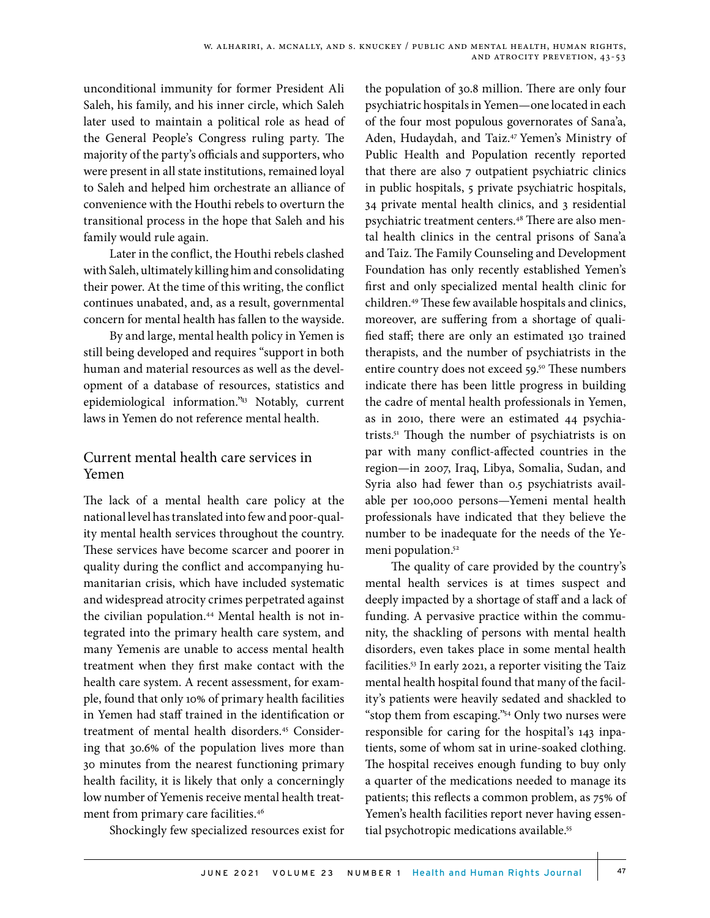unconditional immunity for former President Ali Saleh, his family, and his inner circle, which Saleh later used to maintain a political role as head of the General People's Congress ruling party. The majority of the party's officials and supporters, who were present in all state institutions, remained loyal to Saleh and helped him orchestrate an alliance of convenience with the Houthi rebels to overturn the transitional process in the hope that Saleh and his family would rule again.

Later in the conflict, the Houthi rebels clashed with Saleh, ultimately killing him and consolidating their power. At the time of this writing, the conflict continues unabated, and, as a result, governmental concern for mental health has fallen to the wayside.

By and large, mental health policy in Yemen is still being developed and requires "support in both human and material resources as well as the development of a database of resources, statistics and epidemiological information."43 Notably, current laws in Yemen do not reference mental health.

## Current mental health care services in Yemen

The lack of a mental health care policy at the national level has translated into few and poor-quality mental health services throughout the country. These services have become scarcer and poorer in quality during the conflict and accompanying humanitarian crisis, which have included systematic and widespread atrocity crimes perpetrated against the civilian population.<sup>44</sup> Mental health is not integrated into the primary health care system, and many Yemenis are unable to access mental health treatment when they first make contact with the health care system. A recent assessment, for example, found that only 10% of primary health facilities in Yemen had staff trained in the identification or treatment of mental health disorders.45 Considering that 30.6% of the population lives more than 30 minutes from the nearest functioning primary health facility, it is likely that only a concerningly low number of Yemenis receive mental health treatment from primary care facilities.<sup>46</sup>

Shockingly few specialized resources exist for

the population of 30.8 million. There are only four psychiatric hospitals in Yemen—one located in each of the four most populous governorates of Sana'a, Aden, Hudaydah, and Taiz.<sup>47</sup> Yemen's Ministry of Public Health and Population recently reported that there are also 7 outpatient psychiatric clinics in public hospitals, 5 private psychiatric hospitals, 34 private mental health clinics, and 3 residential psychiatric treatment centers.48 There are also mental health clinics in the central prisons of Sana'a and Taiz. The Family Counseling and Development Foundation has only recently established Yemen's first and only specialized mental health clinic for children.49 These few available hospitals and clinics, moreover, are suffering from a shortage of qualified staff; there are only an estimated 130 trained therapists, and the number of psychiatrists in the entire country does not exceed 59.<sup>50</sup> These numbers indicate there has been little progress in building the cadre of mental health professionals in Yemen, as in 2010, there were an estimated 44 psychiatrists.51 Though the number of psychiatrists is on par with many conflict-affected countries in the region—in 2007, Iraq, Libya, Somalia, Sudan, and Syria also had fewer than 0.5 psychiatrists available per 100,000 persons—Yemeni mental health professionals have indicated that they believe the number to be inadequate for the needs of the Yemeni population.<sup>52</sup>

The quality of care provided by the country's mental health services is at times suspect and deeply impacted by a shortage of staff and a lack of funding. A pervasive practice within the community, the shackling of persons with mental health disorders, even takes place in some mental health facilities.53 In early 2021, a reporter visiting the Taiz mental health hospital found that many of the facility's patients were heavily sedated and shackled to "stop them from escaping."54 Only two nurses were responsible for caring for the hospital's 143 inpatients, some of whom sat in urine-soaked clothing. The hospital receives enough funding to buy only a quarter of the medications needed to manage its patients; this reflects a common problem, as 75% of Yemen's health facilities report never having essential psychotropic medications available.<sup>55</sup>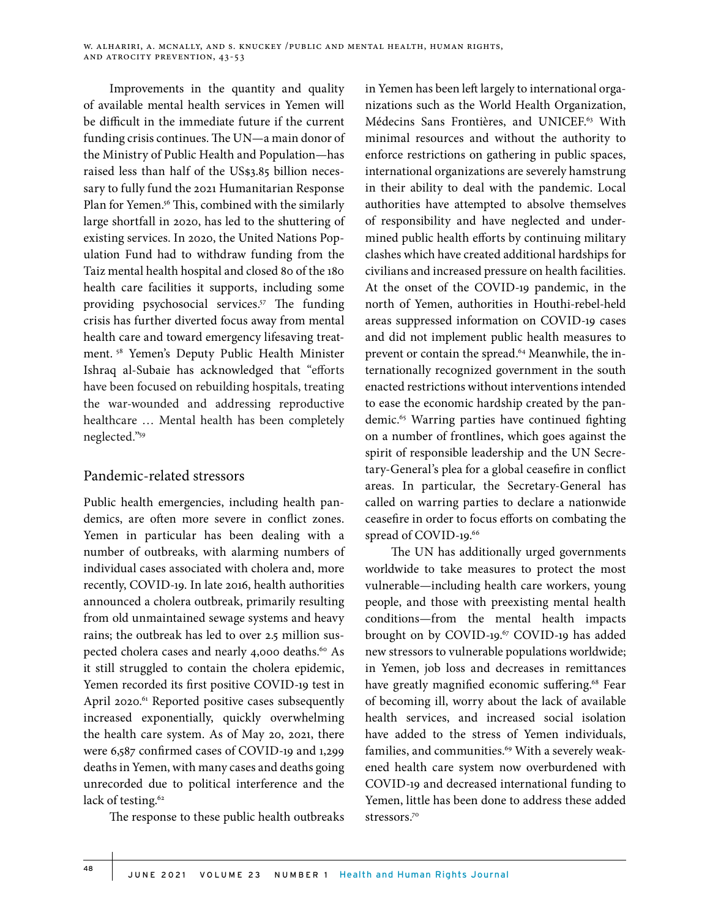Improvements in the quantity and quality of available mental health services in Yemen will be difficult in the immediate future if the current funding crisis continues. The UN—a main donor of the Ministry of Public Health and Population—has raised less than half of the US\$3.85 billion necessary to fully fund the 2021 Humanitarian Response Plan for Yemen.<sup>56</sup> This, combined with the similarly large shortfall in 2020, has led to the shuttering of existing services. In 2020, the United Nations Population Fund had to withdraw funding from the Taiz mental health hospital and closed 80 of the 180 health care facilities it supports, including some providing psychosocial services.<sup>57</sup> The funding crisis has further diverted focus away from mental health care and toward emergency lifesaving treatment. 58 Yemen's Deputy Public Health Minister Ishraq al-Subaie has acknowledged that "efforts have been focused on rebuilding hospitals, treating the war-wounded and addressing reproductive healthcare … Mental health has been completely neglected."59

#### Pandemic-related stressors

Public health emergencies, including health pandemics, are often more severe in conflict zones. Yemen in particular has been dealing with a number of outbreaks, with alarming numbers of individual cases associated with cholera and, more recently, COVID-19. In late 2016, health authorities announced a cholera outbreak, primarily resulting from old unmaintained sewage systems and heavy rains; the outbreak has led to over 2.5 million suspected cholera cases and nearly 4,000 deaths.<sup>60</sup> As it still struggled to contain the cholera epidemic, Yemen recorded its first positive COVID-19 test in April 2020.<sup>61</sup> Reported positive cases subsequently increased exponentially, quickly overwhelming the health care system. As of May 20, 2021, there were 6,587 confirmed cases of COVID-19 and 1,299 deaths in Yemen, with many cases and deaths going unrecorded due to political interference and the lack of testing.<sup>62</sup>

The response to these public health outbreaks

in Yemen has been left largely to international organizations such as the World Health Organization, Médecins Sans Frontières, and UNICEF.<sup>63</sup> With minimal resources and without the authority to enforce restrictions on gathering in public spaces, international organizations are severely hamstrung in their ability to deal with the pandemic. Local authorities have attempted to absolve themselves of responsibility and have neglected and undermined public health efforts by continuing military clashes which have created additional hardships for civilians and increased pressure on health facilities. At the onset of the COVID-19 pandemic, in the north of Yemen, authorities in Houthi-rebel-held areas suppressed information on COVID-19 cases and did not implement public health measures to prevent or contain the spread.<sup>64</sup> Meanwhile, the internationally recognized government in the south enacted restrictions without interventions intended to ease the economic hardship created by the pandemic.<sup>65</sup> Warring parties have continued fighting on a number of frontlines, which goes against the spirit of responsible leadership and the UN Secretary-General's plea for a global ceasefire in conflict areas. In particular, the Secretary-General has called on warring parties to declare a nationwide ceasefire in order to focus efforts on combating the spread of COVID-19.<sup>66</sup>

The UN has additionally urged governments worldwide to take measures to protect the most vulnerable—including health care workers, young people, and those with preexisting mental health conditions—from the mental health impacts brought on by COVID-19.<sup>67</sup> COVID-19 has added new stressors to vulnerable populations worldwide; in Yemen, job loss and decreases in remittances have greatly magnified economic suffering.<sup>68</sup> Fear of becoming ill, worry about the lack of available health services, and increased social isolation have added to the stress of Yemen individuals, families, and communities.<sup>69</sup> With a severely weakened health care system now overburdened with COVID-19 and decreased international funding to Yemen, little has been done to address these added stressors.70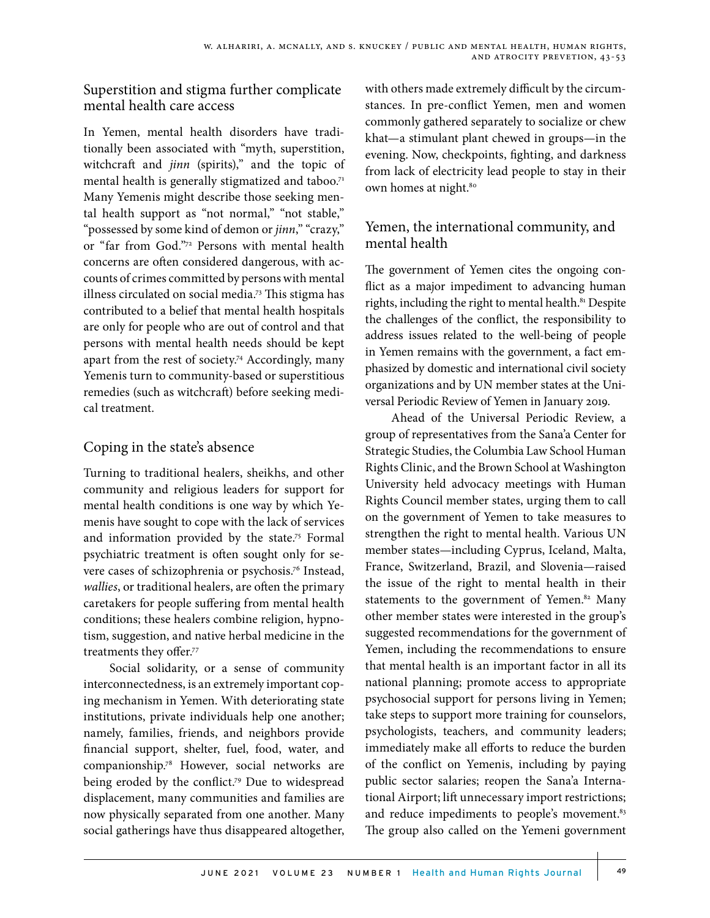## Superstition and stigma further complicate mental health care access

In Yemen, mental health disorders have traditionally been associated with "myth, superstition, witchcraft and *jinn* (spirits)," and the topic of mental health is generally stigmatized and taboo.<sup>71</sup> Many Yemenis might describe those seeking mental health support as "not normal," "not stable," "possessed by some kind of demon or *jinn*," "crazy," or "far from God."72 Persons with mental health concerns are often considered dangerous, with accounts of crimes committed by persons with mental illness circulated on social media.73 This stigma has contributed to a belief that mental health hospitals are only for people who are out of control and that persons with mental health needs should be kept apart from the rest of society.74 Accordingly, many Yemenis turn to community-based or superstitious remedies (such as witchcraft) before seeking medical treatment.

## Coping in the state's absence

Turning to traditional healers, sheikhs, and other community and religious leaders for support for mental health conditions is one way by which Yemenis have sought to cope with the lack of services and information provided by the state.<sup>75</sup> Formal psychiatric treatment is often sought only for severe cases of schizophrenia or psychosis.76 Instead, *wallies*, or traditional healers, are often the primary caretakers for people suffering from mental health conditions; these healers combine religion, hypnotism, suggestion, and native herbal medicine in the treatments they offer.77

Social solidarity, or a sense of community interconnectedness, is an extremely important coping mechanism in Yemen. With deteriorating state institutions, private individuals help one another; namely, families, friends, and neighbors provide financial support, shelter, fuel, food, water, and companionship.78 However, social networks are being eroded by the conflict.<sup>79</sup> Due to widespread displacement, many communities and families are now physically separated from one another. Many social gatherings have thus disappeared altogether,

with others made extremely difficult by the circumstances. In pre-conflict Yemen, men and women commonly gathered separately to socialize or chew khat—a stimulant plant chewed in groups—in the evening. Now, checkpoints, fighting, and darkness from lack of electricity lead people to stay in their own homes at night.<sup>80</sup>

## Yemen, the international community, and mental health

The government of Yemen cites the ongoing conflict as a major impediment to advancing human rights, including the right to mental health.<sup>81</sup> Despite the challenges of the conflict, the responsibility to address issues related to the well-being of people in Yemen remains with the government, a fact emphasized by domestic and international civil society organizations and by UN member states at the Universal Periodic Review of Yemen in January 2019.

Ahead of the Universal Periodic Review, a group of representatives from the Sana'a Center for Strategic Studies, the Columbia Law School Human Rights Clinic, and the Brown School at Washington University held advocacy meetings with Human Rights Council member states, urging them to call on the government of Yemen to take measures to strengthen the right to mental health. Various UN member states—including Cyprus, Iceland, Malta, France, Switzerland, Brazil, and Slovenia—raised the issue of the right to mental health in their statements to the government of Yemen.<sup>82</sup> Many other member states were interested in the group's suggested recommendations for the government of Yemen, including the recommendations to ensure that mental health is an important factor in all its national planning; promote access to appropriate psychosocial support for persons living in Yemen; take steps to support more training for counselors, psychologists, teachers, and community leaders; immediately make all efforts to reduce the burden of the conflict on Yemenis, including by paying public sector salaries; reopen the Sana'a International Airport; lift unnecessary import restrictions; and reduce impediments to people's movement.<sup>83</sup> The group also called on the Yemeni government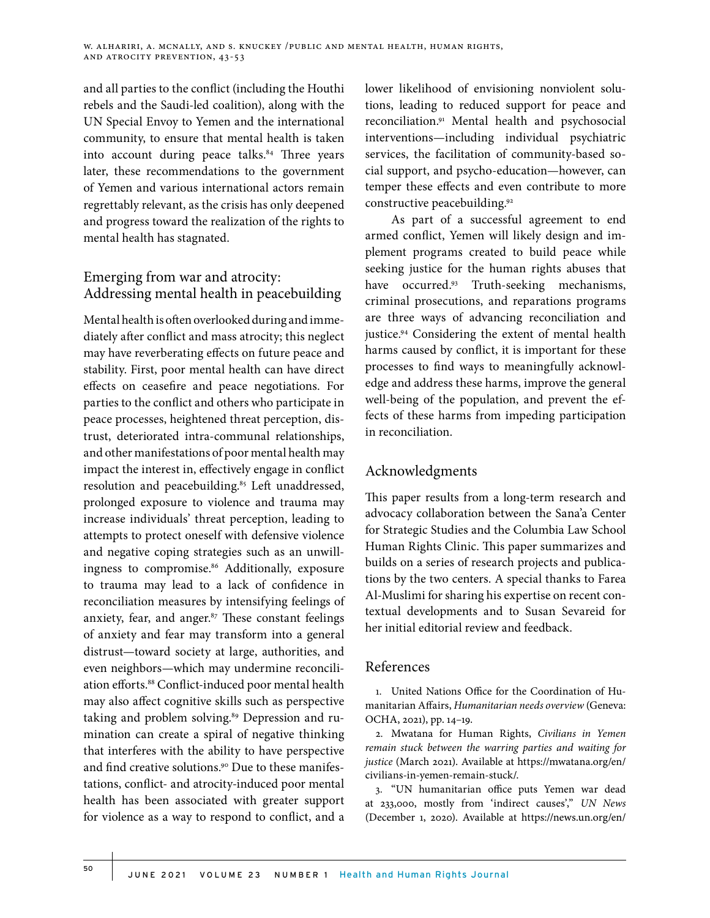and all parties to the conflict (including the Houthi rebels and the Saudi-led coalition), along with the UN Special Envoy to Yemen and the international community, to ensure that mental health is taken into account during peace talks.<sup>84</sup> Three years later, these recommendations to the government of Yemen and various international actors remain regrettably relevant, as the crisis has only deepened and progress toward the realization of the rights to mental health has stagnated.

## Emerging from war and atrocity: Addressing mental health in peacebuilding

Mental health is often overlooked during and immediately after conflict and mass atrocity; this neglect may have reverberating effects on future peace and stability. First, poor mental health can have direct effects on ceasefire and peace negotiations. For parties to the conflict and others who participate in peace processes, heightened threat perception, distrust, deteriorated intra-communal relationships, and other manifestations of poor mental health may impact the interest in, effectively engage in conflict resolution and peacebuilding.<sup>85</sup> Left unaddressed, prolonged exposure to violence and trauma may increase individuals' threat perception, leading to attempts to protect oneself with defensive violence and negative coping strategies such as an unwillingness to compromise.<sup>86</sup> Additionally, exposure to trauma may lead to a lack of confidence in reconciliation measures by intensifying feelings of anxiety, fear, and anger.<sup>87</sup> These constant feelings of anxiety and fear may transform into a general distrust—toward society at large, authorities, and even neighbors—which may undermine reconciliation efforts.88 Conflict-induced poor mental health may also affect cognitive skills such as perspective taking and problem solving.<sup>89</sup> Depression and rumination can create a spiral of negative thinking that interferes with the ability to have perspective and find creative solutions.<sup>90</sup> Due to these manifestations, conflict- and atrocity-induced poor mental health has been associated with greater support for violence as a way to respond to conflict, and a

lower likelihood of envisioning nonviolent solutions, leading to reduced support for peace and reconciliation.91 Mental health and psychosocial interventions—including individual psychiatric services, the facilitation of community-based social support, and psycho-education—however, can temper these effects and even contribute to more constructive peacebuilding.<sup>92</sup>

As part of a successful agreement to end armed conflict, Yemen will likely design and implement programs created to build peace while seeking justice for the human rights abuses that have occurred.<sup>93</sup> Truth-seeking mechanisms, criminal prosecutions, and reparations programs are three ways of advancing reconciliation and justice.94 Considering the extent of mental health harms caused by conflict, it is important for these processes to find ways to meaningfully acknowledge and address these harms, improve the general well-being of the population, and prevent the effects of these harms from impeding participation in reconciliation.

## Acknowledgments

This paper results from a long-term research and advocacy collaboration between the Sana'a Center for Strategic Studies and the Columbia Law School Human Rights Clinic. This paper summarizes and builds on a series of research projects and publications by the two centers. A special thanks to Farea Al-Muslimi for sharing his expertise on recent contextual developments and to Susan Sevareid for her initial editorial review and feedback.

## References

1. United Nations Office for the Coordination of Humanitarian Affairs, *Humanitarian needs overview* (Geneva: OCHA, 2021), pp. 14–19.

2. Mwatana for Human Rights, *Civilians in Yemen remain stuck between the warring parties and waiting for justice* (March 2021). Available at https://mwatana.org/en/ civilians-in-yemen-remain-stuck/.

3. "UN humanitarian office puts Yemen war dead at 233,000, mostly from 'indirect causes'," *UN News* (December 1, 2020). Available at https://news.un.org/en/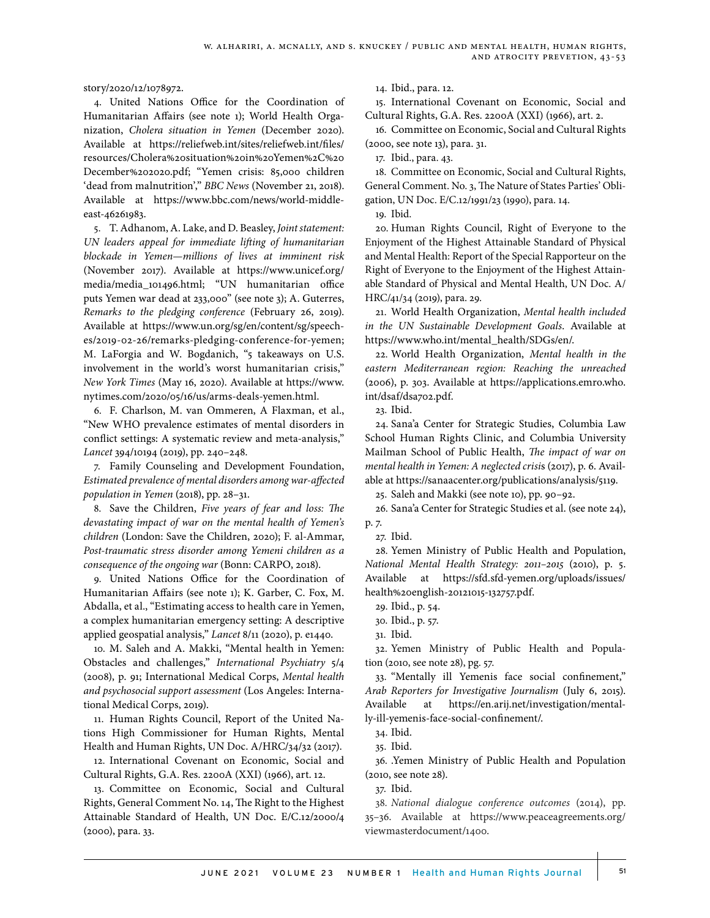story/2020/12/1078972.

4. United Nations Office for the Coordination of Humanitarian Affairs (see note 1); World Health Organization, *Cholera situation in Yemen* (December 2020). Available at https://reliefweb.int/sites/reliefweb.int/files/ resources/Cholera%20situation%20in%20Yemen%2C%20 December%202020.pdf; "Yemen crisis: 85,000 children 'dead from malnutrition'," *BBC News* (November 21, 2018). Available at https://www.bbc.com/news/world-middleeast-46261983.

5. T. Adhanom, A. Lake, and D. Beasley, *Joint statement: UN leaders appeal for immediate lifting of humanitarian blockade in Yemen—millions of lives at imminent risk* (November 2017). Available at https://www.unicef.org/ media/media\_101496.html; "UN humanitarian office puts Yemen war dead at 233,000" (see note 3); A. Guterres, *Remarks to the pledging conference* (February 26, 2019). Available at https://www.un.org/sg/en/content/sg/speeches/2019-02-26/remarks-pledging-conference-for-yemen; M. LaForgia and W. Bogdanich, "5 takeaways on U.S. involvement in the world's worst humanitarian crisis," *New York Times* (May 16, 2020). Available at https://www. nytimes.com/2020/05/16/us/arms-deals-yemen.html.

6. F. Charlson, M. van Ommeren, A Flaxman, et al., "New WHO prevalence estimates of mental disorders in conflict settings: A systematic review and meta-analysis," *Lancet* 394/10194 (2019), pp. 240–248.

7. Family Counseling and Development Foundation, *Estimated prevalence of mental disorders among war-affected population in Yemen* (2018), pp. 28–31.

8. Save the Children, *Five years of fear and loss: The devastating impact of war on the mental health of Yemen's children* (London: Save the Children, 2020); F. al-Ammar, *Post-traumatic stress disorder among Yemeni children as a consequence of the ongoing war* (Bonn: CARPO, 2018).

9. United Nations Office for the Coordination of Humanitarian Affairs (see note 1); K. Garber, C. Fox, M. Abdalla, et al., "Estimating access to health care in Yemen, a complex humanitarian emergency setting: A descriptive applied geospatial analysis," *Lancet* 8/11 (2020), p. e1440.

10. M. Saleh and A. Makki, "Mental health in Yemen: Obstacles and challenges," *International Psychiatry* 5/4 (2008), p. 91; International Medical Corps, *Mental health and psychosocial support assessment* (Los Angeles: International Medical Corps, 2019).

11. Human Rights Council, Report of the United Nations High Commissioner for Human Rights, Mental Health and Human Rights, UN Doc. A/HRC/34/32 (2017).

12. International Covenant on Economic, Social and Cultural Rights, G.A. Res. 2200A (XXI) (1966), art. 12.

13. Committee on Economic, Social and Cultural Rights, General Comment No. 14, The Right to the Highest Attainable Standard of Health, UN Doc. E/C.12/2000/4 (2000), para. 33.

14. Ibid., para. 12.

15. International Covenant on Economic, Social and Cultural Rights, G.A. Res. 2200A (XXI) (1966), art. 2.

16. Committee on Economic, Social and Cultural Rights (2000, see note 13), para. 31.

17. Ibid., para. 43.

18. Committee on Economic, Social and Cultural Rights, General Comment. No. 3, The Nature of States Parties' Obligation, UN Doc. E/C.12/1991/23 (1990), para. 14.

19. Ibid.

20. Human Rights Council, Right of Everyone to the Enjoyment of the Highest Attainable Standard of Physical and Mental Health: Report of the Special Rapporteur on the Right of Everyone to the Enjoyment of the Highest Attainable Standard of Physical and Mental Health, UN Doc. A/ HRC/41/34 (2019), para. 29.

21. World Health Organization, *Mental health included in the UN Sustainable Development Goals*. Available at https://www.who.int/mental\_health/SDGs/en/.

22. World Health Organization, *Mental health in the eastern Mediterranean region: Reaching the unreached* (2006), p. 303. Available at https://applications.emro.who. int/dsaf/dsa702.pdf.

23. Ibid.

24. Sana'a Center for Strategic Studies, Columbia Law School Human Rights Clinic, and Columbia University Mailman School of Public Health, *The impact of war on mental health in Yemen: A neglected crisi*s (2017), p. 6. Available at https://sanaacenter.org/publications/analysis/5119.

25. Saleh and Makki (see note 10), pp. 90–92.

26. Sana'a Center for Strategic Studies et al. (see note 24), p. 7.

27. Ibid.

28. Yemen Ministry of Public Health and Population, *National Mental Health Strategy: 2011–2015* (2010), p. 5. Available at https://sfd.sfd-yemen.org/uploads/issues/ health%20english-20121015-132757.pdf.

29. Ibid., p. 54.

30. Ibid., p. 57.

31. Ibid.

32. Yemen Ministry of Public Health and Population (2010, see note 28), pg. 57.

33. "Mentally ill Yemenis face social confinement," *Arab Reporters for Investigative Journalism* (July 6, 2015). Available at https://en.arij.net/investigation/mentally-ill-yemenis-face-social-confinement/.

34. Ibid.

35. Ibid.

36. .Yemen Ministry of Public Health and Population (2010, see note 28).

37. Ibid.

38. *National dialogue conference outcomes* (2014), pp. 35–36. Available at https://www.peaceagreements.org/ viewmasterdocument/1400.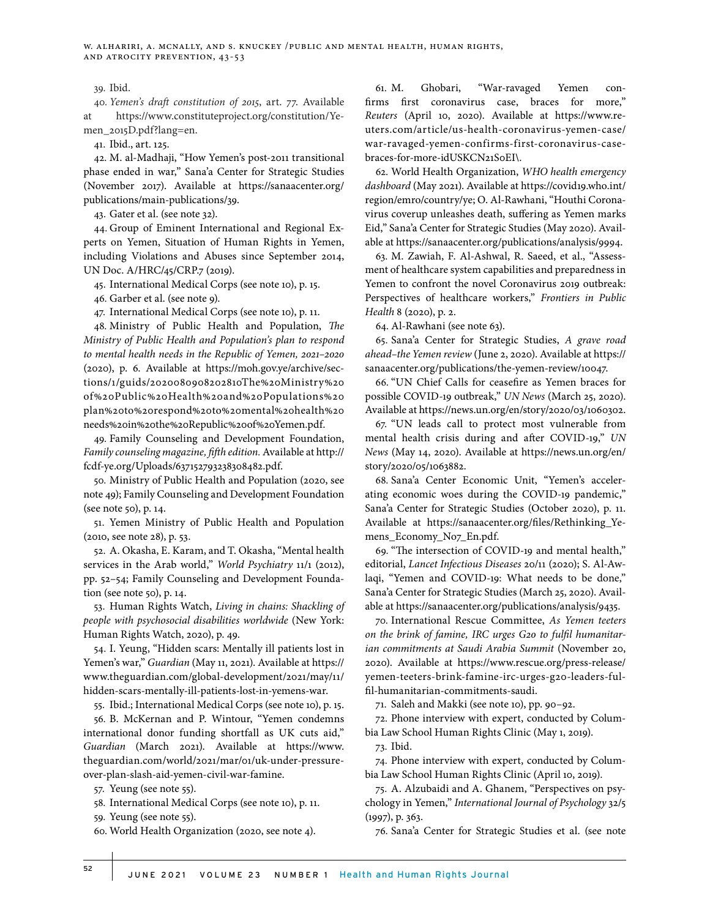#### 39. Ibid.

40. *Yemen's draft constitution of 2015*, art. 77. Available https://www.constituteproject.org/constitution/Yemen\_2015D.pdf?lang=en.

41. Ibid., art. 125.

42. M. al-Madhaji, "How Yemen's post-2011 transitional phase ended in war," Sana'a Center for Strategic Studies (November 2017). Available at https://sanaacenter.org/ publications/main-publications/39.

43. Gater et al. (see note 32).

44. Group of Eminent International and Regional Experts on Yemen, Situation of Human Rights in Yemen, including Violations and Abuses since September 2014, UN Doc. A/HRC/45/CRP.7 (2019).

45. International Medical Corps (see note 10), p. 15.

46. Garber et al. (see note 9).

47. International Medical Corps (see note 10), p. 11.

48. Ministry of Public Health and Population, *The Ministry of Public Health and Population's plan to respond to mental health needs in the Republic of Yemen, 2021–2020* (2020), p. 6. Available at https://moh.gov.ye/archive/sections/1/guids/2020080908202810The%20Ministry%20 of%20Public%20Health%20and%20Populations%20 plan%20to%20respond%20to%20mental%20health%20 needs%20in%20the%20Republic%20of%20Yemen.pdf.

49. Family Counseling and Development Foundation, *Family counseling magazine, fifth edition.* Available at http:// fcdf-ye.org/Uploads/637152793238308482.pdf.

50. Ministry of Public Health and Population (2020, see note 49); Family Counseling and Development Foundation (see note 50), p. 14.

51. Yemen Ministry of Public Health and Population (2010, see note 28), p. 53.

52. A. Okasha, E. Karam, and T. Okasha, "Mental health services in the Arab world," *World Psychiatry* 11/1 (2012), pp. 52–54; Family Counseling and Development Foundation (see note 50), p. 14.

53. Human Rights Watch, *Living in chains: Shackling of people with psychosocial disabilities worldwide* (New York: Human Rights Watch, 2020), p. 49.

54. I. Yeung, "Hidden scars: Mentally ill patients lost in Yemen's war," *Guardian* (May 11, 2021). Available at https:// www.theguardian.com/global-development/2021/may/11/ hidden-scars-mentally-ill-patients-lost-in-yemens-war.

55. Ibid.; International Medical Corps (see note 10), p. 15.

56. B. McKernan and P. Wintour, "Yemen condemns international donor funding shortfall as UK cuts aid," *Guardian* (March 2021). Available at https://www. theguardian.com/world/2021/mar/01/uk-under-pressureover-plan-slash-aid-yemen-civil-war-famine.

57. Yeung (see note 55).

58. International Medical Corps (see note 10), p. 11.

59. Yeung (see note 55).

60. World Health Organization (2020, see note 4).

61. M. Ghobari, "War-ravaged Yemen confirms first coronavirus case, braces for more," *Reuters* (April 10, 2020). Available at https://www.reuters.com/article/us-health-coronavirus-yemen-case/ war-ravaged-yemen-confirms-first-coronavirus-casebraces-for-more-idUSKCN21S0EI\.

62. World Health Organization, *WHO health emergency dashboard* (May 2021). Available at https://covid19.who.int/ region/emro/country/ye; O. Al-Rawhani, "Houthi Coronavirus coverup unleashes death, suffering as Yemen marks Eid," Sana'a Center for Strategic Studies (May 2020). Available at https://sanaacenter.org/publications/analysis/9994.

63. M. Zawiah, F. Al-Ashwal, R. Saeed, et al., "Assessment of healthcare system capabilities and preparedness in Yemen to confront the novel Coronavirus 2019 outbreak: Perspectives of healthcare workers," *Frontiers in Public Health* 8 (2020), p. 2.

64. Al-Rawhani (see note 63).

65. Sana'a Center for Strategic Studies, *A grave road ahead–the Yemen review* (June 2, 2020). Available at https:// sanaacenter.org/publications/the-yemen-review/10047.

66. "UN Chief Calls for ceasefire as Yemen braces for possible COVID-19 outbreak," *UN News* (March 25, 2020). Available at https://news.un.org/en/story/2020/03/1060302.

67. "UN leads call to protect most vulnerable from mental health crisis during and after COVID-19," *UN News* (May 14, 2020). Available at https://news.un.org/en/ story/2020/05/1063882.

68. Sana'a Center Economic Unit, "Yemen's accelerating economic woes during the COVID-19 pandemic," Sana'a Center for Strategic Studies (October 2020), p. 11. Available at https://sanaacenter.org/files/Rethinking\_Yemens\_Economy\_No7\_En.pdf.

69. "The intersection of COVID-19 and mental health," editorial, *Lancet Infectious Diseases* 20/11 (2020); S. Al-Awlaqi, "Yemen and COVID-19: What needs to be done," Sana'a Center for Strategic Studies (March 25, 2020). Available at https://sanaacenter.org/publications/analysis/9435.

70. International Rescue Committee, *As Yemen teeters on the brink of famine, IRC urges G20 to fulfil humanitarian commitments at Saudi Arabia Summit* (November 20, 2020). Available at https://www.rescue.org/press-release/ yemen-teeters-brink-famine-irc-urges-g20-leaders-fulfil-humanitarian-commitments-saudi.

71. Saleh and Makki (see note 10), pp. 90–92.

72. Phone interview with expert, conducted by Columbia Law School Human Rights Clinic (May 1, 2019).

73. Ibid.

74. Phone interview with expert, conducted by Columbia Law School Human Rights Clinic (April 10, 2019).

75. A. Alzubaidi and A. Ghanem, "Perspectives on psychology in Yemen," *International Journal of Psychology* 32/5 (1997), p. 363.

76. Sana'a Center for Strategic Studies et al. (see note